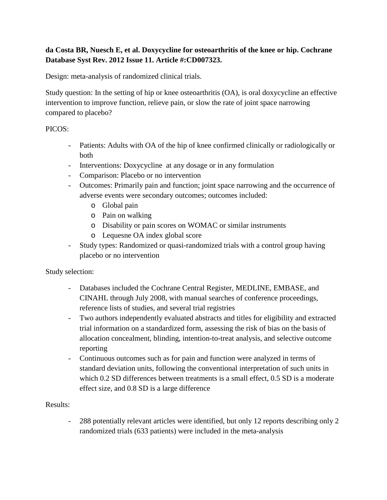## **da Costa BR, Nuesch E, et al. Doxycycline for osteoarthritis of the knee or hip. Cochrane Database Syst Rev. 2012 Issue 11. Article #:CD007323.**

Design: meta-analysis of randomized clinical trials.

Study question: In the setting of hip or knee osteoarthritis (OA), is oral doxycycline an effective intervention to improve function, relieve pain, or slow the rate of joint space narrowing compared to placebo?

## PICOS:

- Patients: Adults with OA of the hip of knee confirmed clinically or radiologically or both
- Interventions: Doxycycline at any dosage or in any formulation
- Comparison: Placebo or no intervention
- Outcomes: Primarily pain and function; joint space narrowing and the occurrence of adverse events were secondary outcomes; outcomes included:
	- o Global pain
	- o Pain on walking
	- o Disability or pain scores on WOMAC or similar instruments
	- o Lequesne OA index global score
- Study types: Randomized or quasi-randomized trials with a control group having placebo or no intervention

Study selection:

- Databases included the Cochrane Central Register, MEDLINE, EMBASE, and CINAHL through July 2008, with manual searches of conference proceedings, reference lists of studies, and several trial registries
- Two authors independently evaluated abstracts and titles for eligibility and extracted trial information on a standardized form, assessing the risk of bias on the basis of allocation concealment, blinding, intention-to-treat analysis, and selective outcome reporting
- Continuous outcomes such as for pain and function were analyzed in terms of standard deviation units, following the conventional interpretation of such units in which 0.2 SD differences between treatments is a small effect, 0.5 SD is a moderate effect size, and 0.8 SD is a large difference

## Results:

- 288 potentially relevant articles were identified, but only 12 reports describing only 2 randomized trials (633 patients) were included in the meta-analysis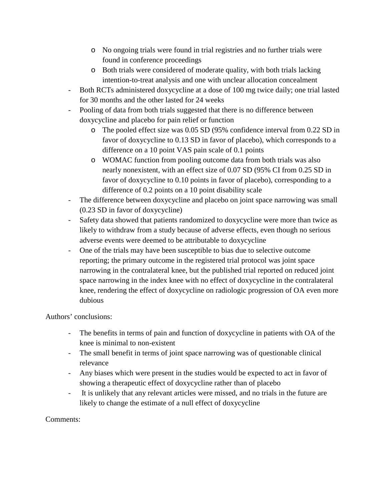- o No ongoing trials were found in trial registries and no further trials were found in conference proceedings
- o Both trials were considered of moderate quality, with both trials lacking intention-to-treat analysis and one with unclear allocation concealment
- Both RCTs administered doxycycline at a dose of 100 mg twice daily; one trial lasted for 30 months and the other lasted for 24 weeks
- Pooling of data from both trials suggested that there is no difference between doxycycline and placebo for pain relief or function
	- o The pooled effect size was 0.05 SD (95% confidence interval from 0.22 SD in favor of doxycycline to 0.13 SD in favor of placebo), which corresponds to a difference on a 10 point VAS pain scale of 0.1 points
	- o WOMAC function from pooling outcome data from both trials was also nearly nonexistent, with an effect size of 0.07 SD (95% CI from 0.25 SD in favor of doxycycline to 0.10 points in favor of placebo), corresponding to a difference of 0.2 points on a 10 point disability scale
- The difference between doxycycline and placebo on joint space narrowing was small (0.23 SD in favor of doxycycline)
- Safety data showed that patients randomized to doxycycline were more than twice as likely to withdraw from a study because of adverse effects, even though no serious adverse events were deemed to be attributable to doxycycline
- One of the trials may have been susceptible to bias due to selective outcome reporting; the primary outcome in the registered trial protocol was joint space narrowing in the contralateral knee, but the published trial reported on reduced joint space narrowing in the index knee with no effect of doxycycline in the contralateral knee, rendering the effect of doxycycline on radiologic progression of OA even more dubious

Authors' conclusions:

- The benefits in terms of pain and function of doxycycline in patients with OA of the knee is minimal to non-existent
- The small benefit in terms of joint space narrowing was of questionable clinical relevance
- Any biases which were present in the studies would be expected to act in favor of showing a therapeutic effect of doxycycline rather than of placebo
- It is unlikely that any relevant articles were missed, and no trials in the future are likely to change the estimate of a null effect of doxycycline

Comments: